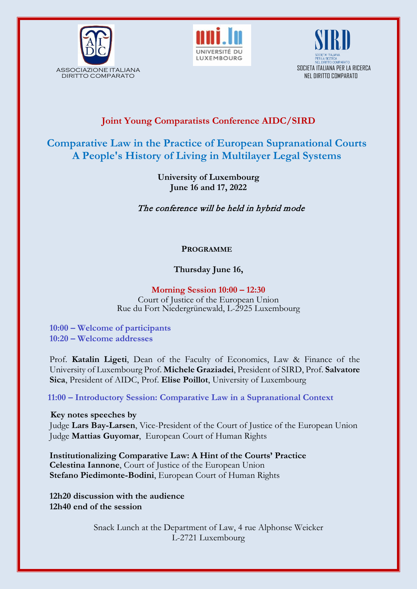





## **Joint Young Comparatists Conference AIDC/SIRD**

# **Comparative Law in the Practice of European Supranational Courts A People's History of Living in Multilayer Legal Systems**

**University of Luxembourg June 16 and 17, 2022**

The conference will be held in hybrid mode

### **PROGRAMME**

### **Thursday June 16,**

#### **Morning Session 10:00 – 12:30** Court of Justice of the European Union Rue du Fort Niedergrünewald, L-2925 Luxembourg

**10:00 – Welcome of participants 10:20 – Welcome addresses**

Prof. **Katalin Ligeti**, Dean of the Faculty of Economics, Law & Finance of the University of Luxembourg Prof. **Michele Graziadei**, President of SIRD, Prof. **Salvatore Sica**, President of AIDC, Prof. **Elise Poillot**, University of Luxembourg

**11:00 – Introductory Session: Comparative Law in a Supranational Context** 

**Key notes speeches by**

Judge **Lars Bay-Larsen**, Vice-President of the Court of Justice of the European Union Judge **Mattias Guyomar**, European Court of Human Rights

**Institutionalizing Comparative Law: A Hint of the Courts' Practice Celestina Iannone**, Court of Justice of the European Union **Stefano Piedimonte-Bodini**, European Court of Human Rights

**12h20 discussion with the audience 12h40 end of the session**

> Snack Lunch at the Department of Law, 4 rue Alphonse Weicker L-2721 Luxembourg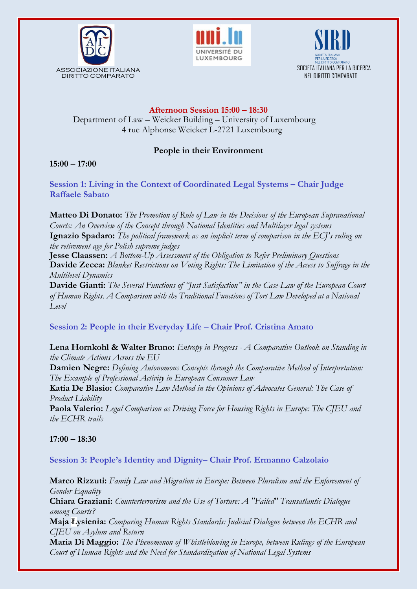





### **Afternoon Session 15:00 – 18:30**

Department of Law – Weicker Building – University of Luxembourg 4 rue Alphonse Weicker L-2721 Luxembourg

#### **People in their Environment**

#### **15:00 – 17:00**

**Session 1: Living in the Context of Coordinated Legal Systems – Chair Judge Raffaele Sabato**

**Matteo Di Donato:** *The Promotion of Rule of Law in the Decisions of the European Supranational Courts: An Overview of the Concept through National Identities and Multilayer legal systems* **Ignazio Spadaro:** *The political framework as an implicit term of comparison in the ECJ's ruling on the retirement age for Polish supreme judges*

**Jesse Claassen:** *A Bottom-Up Assessment of the Obligation to Refer Preliminary Questions* **Davide Zecca:** *Blanket Restrictions on Voting Rights: The Limitation of the Access to Suffrage in the Multilevel Dynamics*

**Davide Gianti:** *The Several Functions of "Just Satisfaction" in the Case-Law of the European Court of Human Rights. A Comparison with the Traditional Functions of Tort Law Developed at a National Level*

#### **Session 2: People in their Everyday Life – Chair Prof. Cristina Amato**

**Lena Hornkohl & Walter Bruno:** *Entropy in Progress - A Comparative Outlook on Standing in the Climate Actions Across the EU*

**Damien Negre:** *Defining Autonomous Concepts through the Comparative Method of Interpretation: The Example of Professional Activity in European Consumer Law*

**Katia De Blasio:** *Comparative Law Method in the Opinions of Advocates General: The Case of Product Liability*

**Paola Valerio:** *Legal Comparison as Driving Force for Housing Rights in Europe: The CJEU and the ECHR trails*

**17:00 – 18:30**

#### **Session 3: People's Identity and Dignity– Chair Prof. Ermanno Calzolaio**

**Marco Rizzuti:** *Family Law and Migration in Europe: Between Pluralism and the Enforcement of Gender Equality* **Chiara Graziani:** *Counterterrorism and the Use of Torture: A "Failed" Transatlantic Dialogue among Courts?* **Maja Łysienia:** *Comparing Human Rights Standards: Judicial Dialogue between the ECHR and CJEU on Asylum and Return*

**Maria Di Maggio:** *The Phenomenon of Whistleblowing in Europe, between Rulings of the European Court of Human Rights and the Need for Standardization of National Legal Systems*